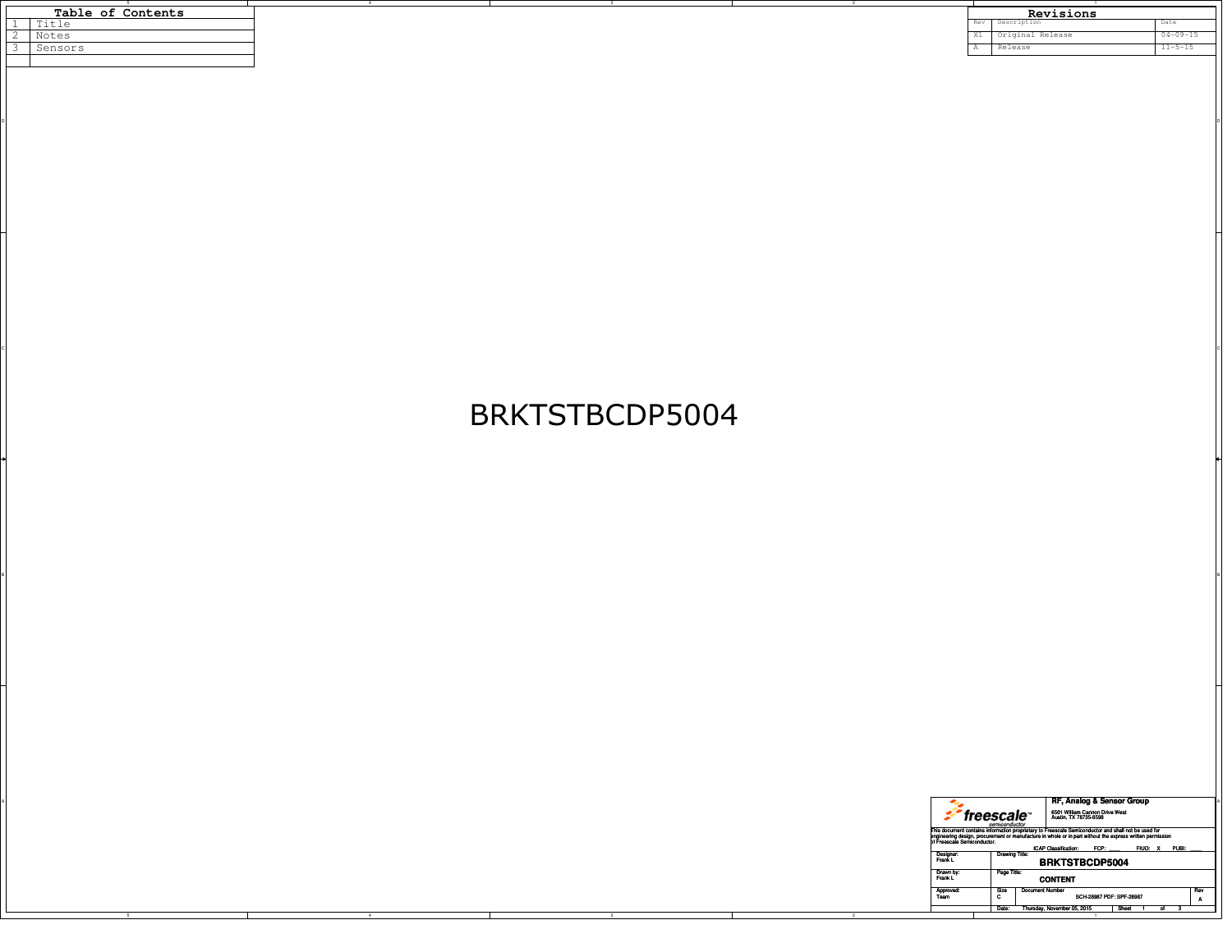|  | Table of Contents |  |  |  |  |  |  |
|--|-------------------|--|--|--|--|--|--|
|  | Title             |  |  |  |  |  |  |
|  | Notes             |  |  |  |  |  |  |
|  | Sensors           |  |  |  |  |  |  |
|  |                   |  |  |  |  |  |  |
|  |                   |  |  |  |  |  |  |

| Table of Contents |                       |  |  |  |       | Revisions        |                |
|-------------------|-----------------------|--|--|--|-------|------------------|----------------|
|                   | $T + 1$<br>╹<br>エエヒエロ |  |  |  | Rev   | Description      | <b>Marc</b>    |
|                   | Notes                 |  |  |  | $-11$ | Original Release | $04 - 09 - 15$ |
|                   | Sensors               |  |  |  |       | Releast          | $11 - 5 - 15$  |
|                   |                       |  |  |  |       |                  |                |

## BRKTSTBCDP5004

BI<br>Bi

 $\circ$ 

on and the contract of the contract of the contract of the contract of the contract of the contract of the contract of the contract of the contract of the contract of the contract of the contract of the contract of the con

|  |  |  |                             |                                                                                                                                                                                                                                                                                 | RF, Analog & Sensor Group                               |                     |
|--|--|--|-----------------------------|---------------------------------------------------------------------------------------------------------------------------------------------------------------------------------------------------------------------------------------------------------------------------------|---------------------------------------------------------|---------------------|
|  |  |  |                             | freescale <sup>®</sup>                                                                                                                                                                                                                                                          | 6501 William Cannon Drive West<br>Austin, TX 78735-8598 |                     |
|  |  |  | of Freescale Semiconductor. | semiconductor<br>This document contains information proprietary to Freescale Semiconductor and shall not be used for<br>engineering design, procurement or manufacture in whole or in part without the express written permission<br>ICAP Classification: FCP:<br>FIUO: X PUBI: |                                                         |                     |
|  |  |  | Designer:<br>Frank L        | Drawing Title:                                                                                                                                                                                                                                                                  | <b>BRKTSTBCDP5004</b>                                   |                     |
|  |  |  | Drawn by<br>Frank L         | Page Title:                                                                                                                                                                                                                                                                     | <b>CONTENT</b>                                          |                     |
|  |  |  | Approved<br>Team            | Document Number<br>Size                                                                                                                                                                                                                                                         | SCH-28987 PDF: SPF-28987                                | Rev<br>$\mathbf{r}$ |
|  |  |  |                             | Date: Thursday, November 05, 2015                                                                                                                                                                                                                                               | Sheet                                                   |                     |
|  |  |  |                             |                                                                                                                                                                                                                                                                                 |                                                         |                     |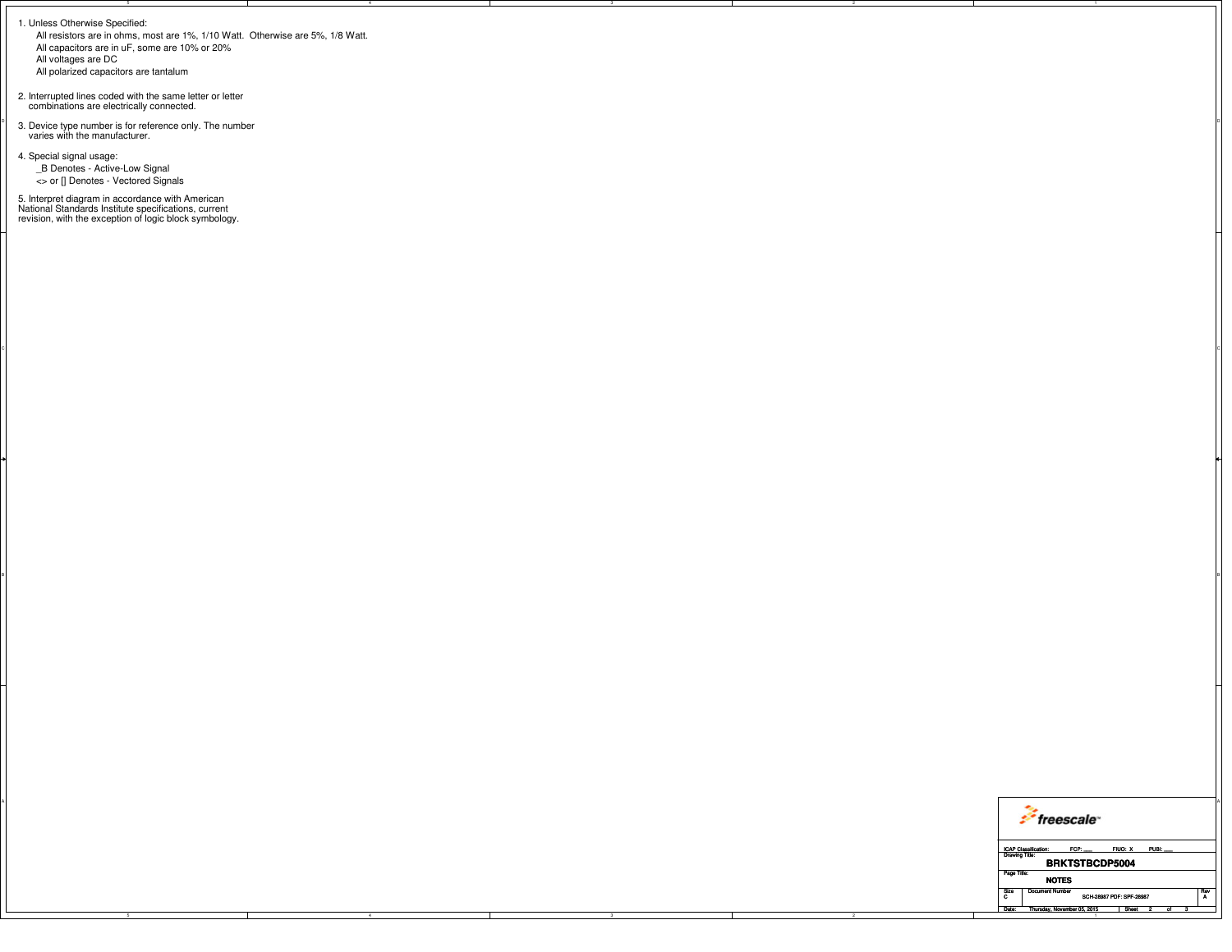1. Unless Otherwise Specified:

 All resistors are in ohms, most are 1%, 1/10 Watt. Otherwise are 5%, 1/8 Watt.All capacitors are in uF, some are 10% or 20%All voltages are DC

 $\circ$ 

BI<br>Bi

All polarized capacitors are tantalum

2. Interrupted lines coded with the same letter or letter combinations are electrically connected.

 $\int_{\text{a}}^{\infty}$  3. Device type number is for reference only. The number  $\int_{\text{a}}^{\infty}$  varies with the manufacturer.

4. Special signal usage: \_B Denotes - Active-Low Signal<> or [] Denotes - Vectored Signals

5. Interpret diagram in accordance with American National Standards Institute specifications, current revision, with the exception of logic block symbology.

| freescale <sup>®</sup>                                                                          |
|-------------------------------------------------------------------------------------------------|
| FCP:<br>FIUO: X PUBI:<br><b>ICAP Classification:</b><br>Drawing Title:<br><b>BRKTSTBCDP5004</b> |
| Page Title:<br><b>NOTES</b>                                                                     |
| Size   Document Number<br>: Rev<br>SCH-28987 PDF: SPF-28987                                     |
| Date: Thursday, November 05, 2015<br><b>Sheet</b>                                               |